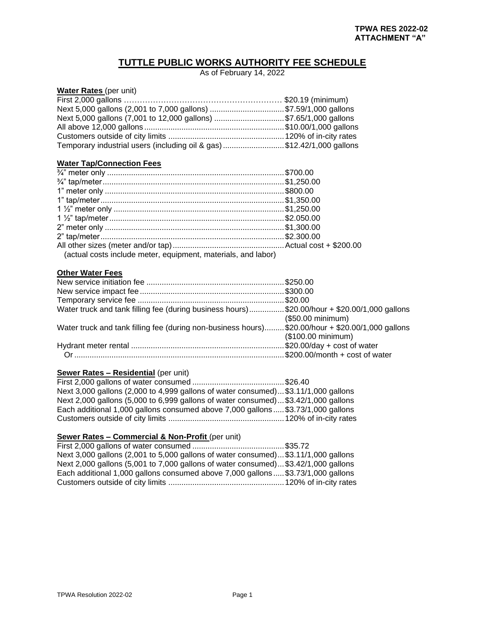# **TUTTLE PUBLIC WORKS AUTHORITY FEE SCHEDULE**

As of February 14, 2022

#### **Water Rates** (per unit)

| Next 5,000 gallons (2,001 to 7,000 gallons) \$7.59/1,000 gallons       |  |
|------------------------------------------------------------------------|--|
| Next 5,000 gallons (7,001 to 12,000 gallons) \$7.65/1,000 gallons      |  |
|                                                                        |  |
|                                                                        |  |
| Temporary industrial users (including oil & gas) \$12.42/1,000 gallons |  |

#### **Water Tap/Connection Fees**

| (actual costs include meter, equipment, materials, and labor) |  |
|---------------------------------------------------------------|--|

#### **Other Water Fees**

| Water truck and tank filling fee (during business hours)\$20.00/hour + \$20.00/1,000 gallons      |                    |
|---------------------------------------------------------------------------------------------------|--------------------|
|                                                                                                   | (\$50.00 minimum)  |
| Water truck and tank filling fee (during non-business hours) \$20.00/hour + \$20.00/1,000 gallons |                    |
|                                                                                                   | (\$100.00 minimum) |
|                                                                                                   |                    |
|                                                                                                   |                    |
|                                                                                                   |                    |

#### **Sewer Rates – Residential** (per unit)

| Next 3,000 gallons (2,000 to 4,999 gallons of water consumed)\$3.11/1,000 gallons |  |
|-----------------------------------------------------------------------------------|--|
| Next 2,000 gallons (5,000 to 6,999 gallons of water consumed)\$3.42/1,000 gallons |  |
| Each additional 1,000 gallons consumed above 7,000 gallons , \$3.73/1,000 gallons |  |
|                                                                                   |  |

#### **Sewer Rates – Commercial & Non-Profit** (per unit)

First 2,000 gallons of water consumed ..........................................\$35.72 Next 3,000 gallons (2,001 to 5,000 gallons of water consumed)...\$3.11/1,000 gallons Next 2,000 gallons (5,001 to 7,000 gallons of water consumed)...\$3.42/1,000 gallons Each additional 1,000 gallons consumed above 7,000 gallons .....\$3.73/1,000 gallons Customers outside of city limits .....................................................120% of in-city rates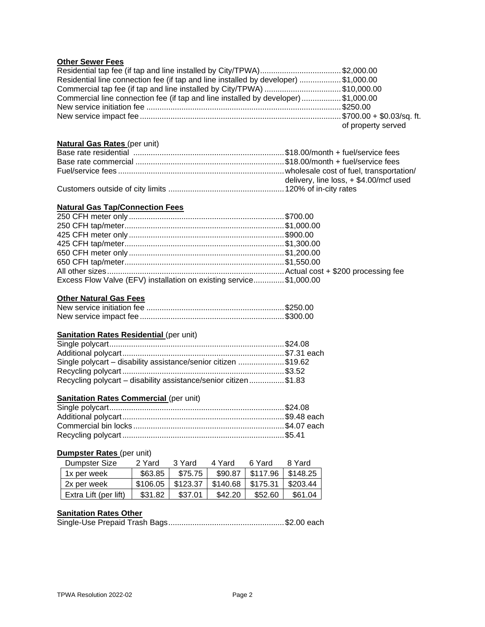# **Other Sewer Fees**

| Residential tap fee (if tap and line installed by City/TPWA)\$2,000.00              |                    |
|-------------------------------------------------------------------------------------|--------------------|
| Residential line connection fee (if tap and line installed by developer) \$1,000.00 |                    |
| Commercial tap fee (if tap and line installed by City/TPWA) \$10,000.00             |                    |
| Commercial line connection fee (if tap and line installed by developer)\$1,000.00   |                    |
|                                                                                     |                    |
|                                                                                     |                    |
|                                                                                     | of property served |

# **Natural Gas Rates** (per unit)

| delivery, line loss, $+$ \$4.00/mcf used |
|------------------------------------------|
|                                          |

### **Natural Gas Tap/Connection Fees**

| Excess Flow Valve (EFV) installation on existing service\$1,000.00 |  |
|--------------------------------------------------------------------|--|

## **Other Natural Gas Fees**

# **Sanitation Rates Residential (per unit)**

| Single polycart – disability assistance/senior citizen \$19.62  |  |
|-----------------------------------------------------------------|--|
|                                                                 |  |
| Recycling polycart - disability assistance/senior citizen\$1.83 |  |

# **Sanitation Rates Commercial (per unit)**

# **Dumpster Rates** (per unit)

| Dumpster Size         | 2 Yard   | 3 Yard   | 4 Yard   | 6 Yard   | 8 Yard   |
|-----------------------|----------|----------|----------|----------|----------|
| 1x per week           | \$63.85  | \$75.75  | \$90.87  | \$117.96 | \$148.25 |
| 2x per week           | \$106.05 | \$123.37 | \$140.68 | \$175.31 | \$203.44 |
| Extra Lift (per lift) | \$31.82  | \$37.01  | \$42.20  | \$52.60  | \$61.04  |

#### **Sanitation Rates Other**

Single-Use Prepaid Trash Bags.....................................................\$2.00 each